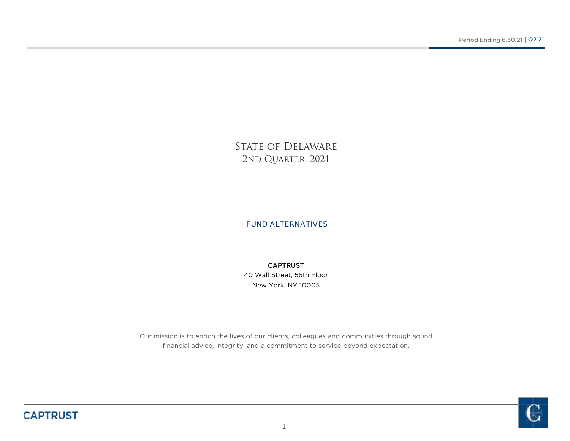STATE OF DELAWARE 2ND QUARTER, 2021

FUND ALTERNATIVES

New York, NY 1000540 Wall Street, 56th Floor CAPTRUST

Our mission is to enrich the lives of our clients, colleagues and communities through sound financial advice, integrity, and a commitment to service beyond expectation.

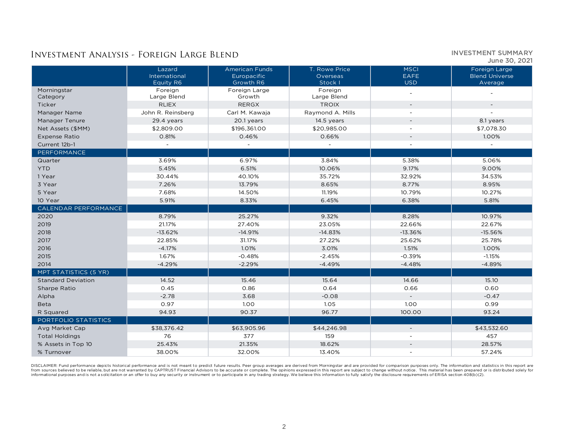INVESTMENT SUMMARY June 30, 2021

|                           | Lazard<br>International<br>Equity R6 | <b>American Funds</b><br>Europacific<br>Growth R6 | T. Rowe Price<br>Overseas<br>Stock I | <b>MSCI</b><br><b>EAFE</b><br><b>USD</b> | Foreign Large<br><b>Blend Universe</b><br>Average |
|---------------------------|--------------------------------------|---------------------------------------------------|--------------------------------------|------------------------------------------|---------------------------------------------------|
| Morningstar<br>Category   | Foreign<br>Large Blend               | Foreign Large<br>Growth                           | Foreign<br>Large Blend               |                                          |                                                   |
| Ticker                    | <b>RLIEX</b>                         | <b>RERGX</b>                                      | <b>TROIX</b>                         | $\overline{\phantom{a}}$                 | $\overline{\phantom{a}}$                          |
| Manager Name              | John R. Reinsberg                    | Carl M. Kawaja                                    | Raymond A. Mills                     |                                          |                                                   |
| Manager Tenure            | 29.4 years                           | 20.1 years                                        | 14.5 years                           | $\overline{\phantom{a}}$                 | 8.1 years                                         |
| Net Assets (\$MM)         | \$2,809.00                           | \$196,361.00                                      | \$20,985.00                          |                                          | \$7,078.30                                        |
| <b>Expense Ratio</b>      | 0.81%                                | 0.46%                                             | 0.66%                                | $\overline{\phantom{a}}$                 | 1.00%                                             |
| Current 12b-1             |                                      |                                                   |                                      | $\overline{a}$                           |                                                   |
| PERFORMANCE               |                                      |                                                   |                                      |                                          |                                                   |
| Quarter                   | 3.69%                                | 6.97%                                             | 3.84%                                | 5.38%                                    | 5.06%                                             |
| <b>YTD</b>                | 5.45%                                | 6.51%                                             | 10.06%                               | 9.17%                                    | 9.00%                                             |
| 1 Year                    | 30.44%                               | 40.10%                                            | 35.72%                               | 32.92%                                   | 34.53%                                            |
| 3 Year                    | 7.26%                                | 13.79%                                            | 8.65%                                | 8.77%                                    | 8.95%                                             |
| 5 Year                    | 7.68%                                | 14.50%                                            | 11.19%                               | 10.79%                                   | 10.27%                                            |
| 10 Year                   | 5.91%                                | 8.33%                                             | 6.45%                                | 6.38%                                    | 5.81%                                             |
| CALENDAR PERFORMANCE      |                                      |                                                   |                                      |                                          |                                                   |
| 2020                      | 8.79%                                | 25.27%                                            | 9.32%                                | 8.28%                                    | 10.97%                                            |
| 2019                      | 21.17%                               | 27.40%                                            | 23.05%                               | 22.66%                                   | 22.67%                                            |
| 2018                      | $-13.62%$                            | $-14.91%$                                         | $-14.83%$                            | $-13.36%$                                | $-15.56%$                                         |
| 2017                      | 22.85%                               | 31.17%                                            | 27.22%                               | 25.62%                                   | 25.78%                                            |
| 2016                      | $-4.17%$                             | 1.01%                                             | 3.01%                                | 1.51%                                    | 1.00%                                             |
| 2015                      | 1.67%                                | $-0.48%$                                          | $-2.45%$                             | $-0.39%$                                 | $-1.15%$                                          |
| 2014                      | $-4.29%$                             | $-2.29%$                                          | $-4.49%$                             | $-4.48%$                                 | $-4.89%$                                          |
| MPT STATISTICS (5 YR)     |                                      |                                                   |                                      |                                          |                                                   |
| <b>Standard Deviation</b> | 14.52                                | 15.46                                             | 15.64                                | 14.66                                    | 15.10                                             |
| Sharpe Ratio              | 0.45                                 | 0.86                                              | 0.64                                 | 0.66                                     | 0.60                                              |
| Alpha                     | $-2.78$                              | 3.68                                              | $-0.08$                              | $\sim$                                   | $-0.47$                                           |
| <b>Beta</b>               | 0.97                                 | 1.00                                              | 1.05                                 | 1.00                                     | 0.99                                              |
| R Squared                 | 94.93                                | 90.37                                             | 96.77                                | 100.00                                   | 93.24                                             |
| PORTFOLIO STATISTICS      |                                      |                                                   |                                      |                                          |                                                   |
| Avg Market Cap            | \$38,376.42                          | \$63,905.96                                       | \$44,246.98                          | $\overline{\phantom{a}}$                 | \$43,532.60                                       |
| <b>Total Holdings</b>     | 76                                   | 377                                               | 159                                  | $\overline{\phantom{a}}$                 | 457                                               |
| % Assets in Top 10        | 25.43%                               | 21.35%                                            | 18.62%                               | $\sim$                                   | 28.57%                                            |
| % Turnover                | 38.00%                               | 32.00%                                            | 13.40%                               | $\overline{\phantom{a}}$                 | 57.24%                                            |

DISCLAIMER: Fund performance depicts historical performance and is not meant to predict future results. Peer group averages are derived from Morningstar and are provided for comparison purposes only. The information and st informational purposes and is not a solicitation or an offer to buy any security or instrument or to participate in any trading strategy. We believe this information to fully satisfy the disclosure requirements of ERISA se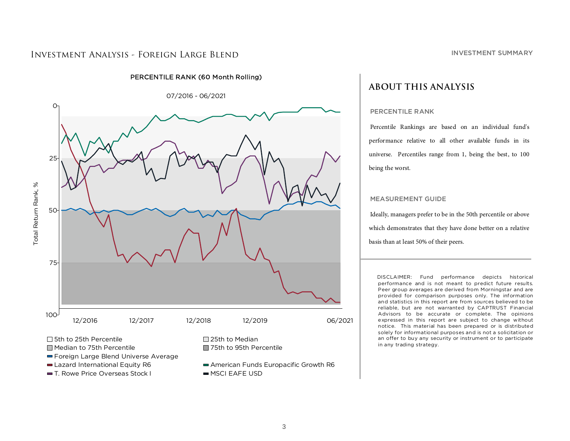

## PERCENTILE RANK (60 Month Rolling)

**ABOUT THIS ANALYSIS**

### PERCENTILE RANK

Percentile Rankings are based on an individual fund's performance relative to all other available funds in its universe. Percentiles range from 1, being the best, to 100 being the worst.

#### MEASUREMENT GUIDE

Ideally, managers prefer to be in the 50th percentile or above which demonstrates that they have done better on a relative basis than at least 50% of their peers.

DISCLAIMER: Fund performance depicts historical performance and is not meant to predict future results. Peer group averages are derived from Morningstar and are provided for comparison purposes only. The information and statistics in this report are from sources believed to be reliable, but are not warranted by CAPTRUST Financial Advisors to be accurate or complete. The opinions expressed in this report are subject to change without notice. This material has been prepared or is distributed solely for informational purposes and is not a solicitation or an offer to buy any security or instrument or to participate in any trading strategy.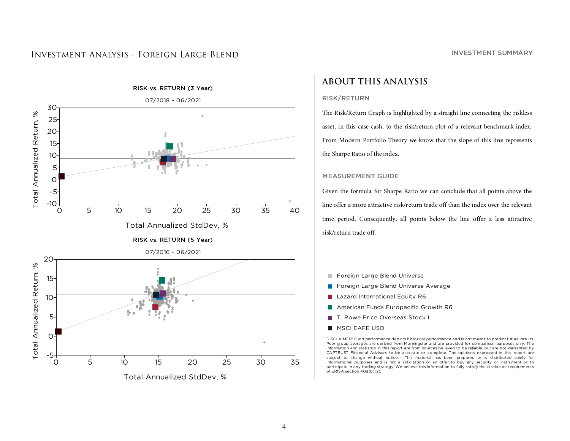

# **ABOUT THIS ANALYSIS**

## RISK/RETURN

The Risk/Return Graph is highlighted by a straight line connecting the riskless asset, in this case cash, to the risk/return plot of a relevant benchmark index. From Modern Portfolio Theory we know that the slope of this line represents the Sharpe Ratio of the index.

## MEASUREMENT GUIDE

Given the formula for Sharpe Ratio we can conclude that all points above the line offer a more attractive risk/return trade off than the index over the relevant time period. Consequently, all points below the line offer a less attractive risk/return trade off.

- Foreign Large Blend Universe
- Foreign Large Blend Universe Average $\mathcal{L}_{\mathcal{A}}$
- $\mathbb{R}^n$ Lazard International Equity R6
- $\mathcal{C}_{\mathcal{A}}$ American Funds Europacific Growth R6
- T. Rowe Price Overseas Stock I
- $\blacksquare$ MSCI EAFE USD

DISCLAIMER: Fund performance depicts historical performance and is not meant to predict future results. Peer group averages are derived from Morningstar and are provided for comparison purposes only. The information and statistics in this report are from sources believed to be reliable, but are not warranted by CAPTRUST Financial Advisors to be accurate or complete. The opinions expressed in this report are subject to change without notice. This material has been prepared or is distributed solely for informational purposes and is not a solicitation or an offer to buy any security or instrument or to participate in any trading strategy. We believe this information to fully satisfy the disclosure requirements of ERISA section 408(b)(2).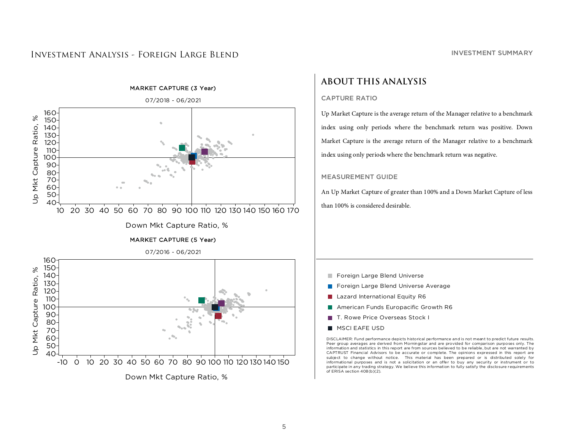

Down Mkt Capture Ratio, %

### INVESTMENT SUMMARY

# **ABOUT THIS ANALYSIS**

## CAPTURE RATIO

Up Market Capture is the average return of the Manager relative to a benchmark index using only periods where the benchmark return was positive. Down Market Capture is the average return of the Manager relative to a benchmark index using only periods where the benchmark return was negative.

## MEASUREMENT GUIDE

An Up Market Capture of greater than 100% and a Down Market Capture of less than 100% is considered desirable.

- Foreign Large Blend Universe
- Foreign Large Blend Universe Average $\mathcal{C}^{\mathcal{A}}$
- $\mathcal{L}_{\mathcal{A}}$ Lazard International Equity R6
- $\mathcal{C}_{\mathcal{A}}$ American Funds Europacific Growth R6
- T. Rowe Price Overseas Stock I
- $\mathbf{r}$ MSCI EAFE USD

DISCLAIMER: Fund performance depicts historical performance and is not meant to predict future results. Peer group averages are derived from Morningstar and are provided for comparison purposes only. The information and statistics in this report are from sources believed to be reliable, but are not warranted by CAPTRUST Financial Advisors to be accurate or complete. The opinions expressed in this report are subject to change without notice. This material has been prepared or is distributed solely for informational purposes and is not a solicitation or an offer to buy any security or instrument or to participate in any trading strategy. We believe this information to fully satisfy the disclosure requirements of ERISA section 408(b)(2).